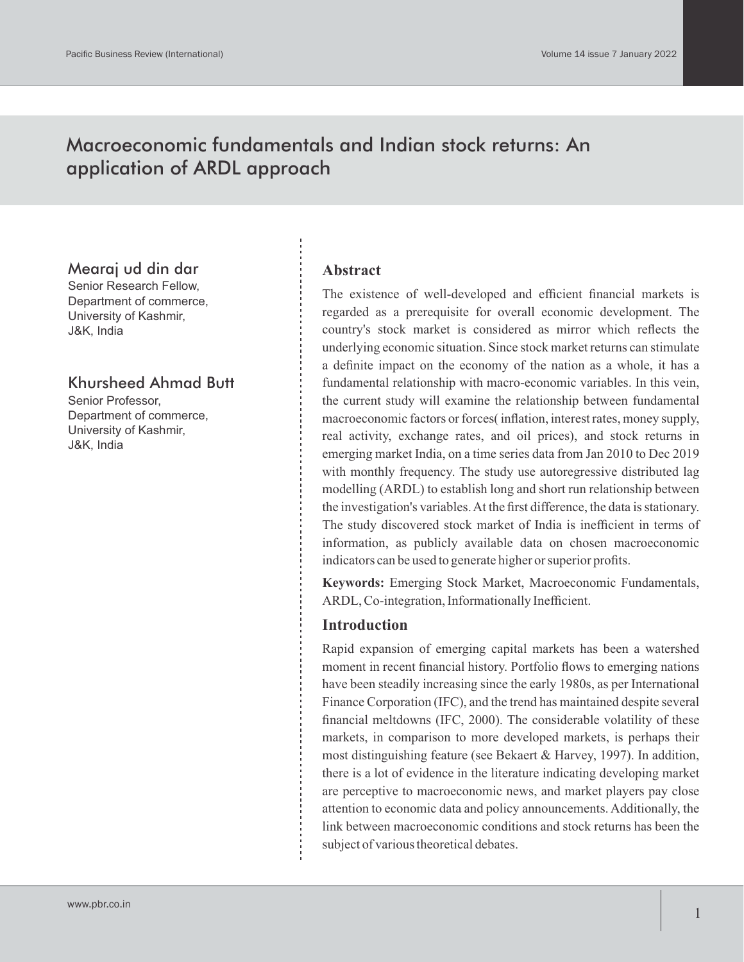# Macroeconomic fundamentals and Indian stock returns: An application of ARDL approach

### Mearaj ud din dar

Senior Research Fellow, Department of commerce, University of Kashmir, J&K, India

# Khursheed Ahmad Butt

Senior Professor, Department of commerce, University of Kashmir, J&K, India

#### **Abstract**

The existence of well-developed and efficient financial markets is regarded as a prerequisite for overall economic development. The country's stock market is considered as mirror which reflects the underlying economic situation. Since stock market returns can stimulate a definite impact on the economy of the nation as a whole, it has a fundamental relationship with macro-economic variables. In this vein, the current study will examine the relationship between fundamental macroeconomic factors or forces( inflation, interest rates, money supply, real activity, exchange rates, and oil prices), and stock returns in emerging market India, on a time series data from Jan 2010 to Dec 2019 with monthly frequency. The study use autoregressive distributed lag modelling (ARDL) to establish long and short run relationship between the investigation's variables. At the first difference, the data is stationary. The study discovered stock market of India is inefficient in terms of information, as publicly available data on chosen macroeconomic indicators can be used to generate higher or superior profits.

**Keywords:** Emerging Stock Market, Macroeconomic Fundamentals, ARDL, Co-integration, Informationally Inefficient.

#### **Introduction**

Rapid expansion of emerging capital markets has been a watershed moment in recent financial history. Portfolio flows to emerging nations have been steadily increasing since the early 1980s, as per International Finance Corporation (IFC), and the trend has maintained despite several financial meltdowns (IFC, 2000). The considerable volatility of these markets, in comparison to more developed markets, is perhaps their most distinguishing feature (see Bekaert & Harvey, 1997). In addition, there is a lot of evidence in the literature indicating developing market are perceptive to macroeconomic news, and market players pay close attention to economic data and policy announcements. Additionally, the link between macroeconomic conditions and stock returns has been the subject of various theoretical debates.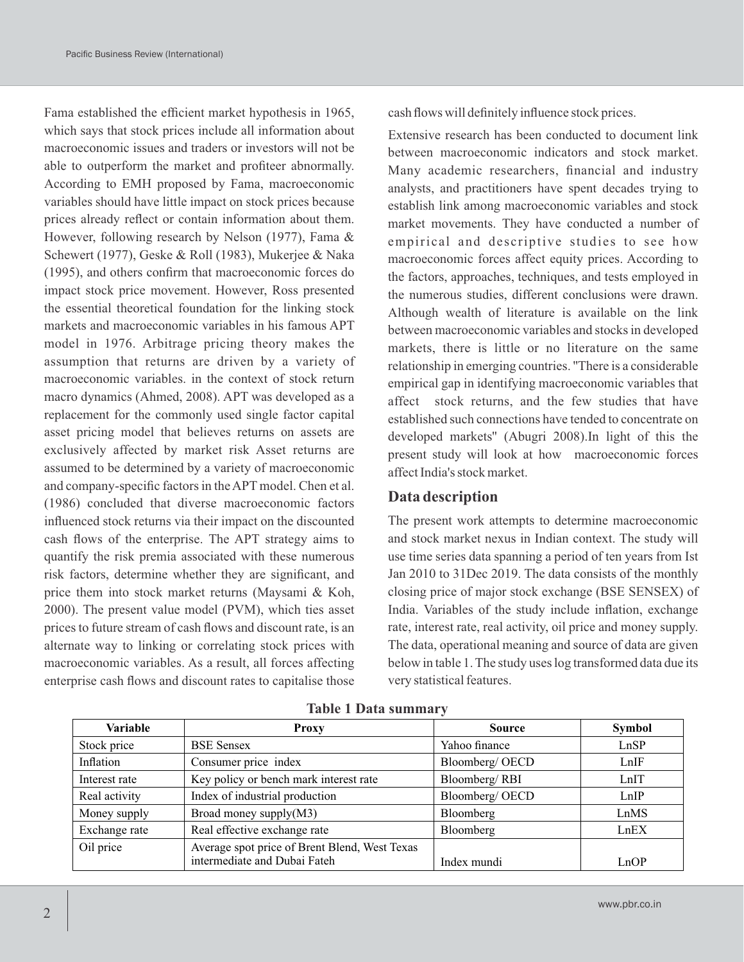Fama established the efficient market hypothesis in 1965, which says that stock prices include all information about macroeconomic issues and traders or investors will not be able to outperform the market and profiteer abnormally. According to EMH proposed by Fama, macroeconomic variables should have little impact on stock prices because prices already reflect or contain information about them. However, following research by Nelson (1977), Fama & Schewert (1977), Geske & Roll (1983), Mukerjee & Naka (1995), and others confirm that macroeconomic forces do impact stock price movement. However, Ross presented the essential theoretical foundation for the linking stock markets and macroeconomic variables in his famous APT model in 1976. Arbitrage pricing theory makes the assumption that returns are driven by a variety of macroeconomic variables. in the context of stock return macro dynamics (Ahmed, 2008). APT was developed as a replacement for the commonly used single factor capital asset pricing model that believes returns on assets are exclusively affected by market risk Asset returns are assumed to be determined by a variety of macroeconomic and company-specific factors in the APT model. Chen et al. (1986) concluded that diverse macroeconomic factors influenced stock returns via their impact on the discounted cash flows of the enterprise. The APT strategy aims to quantify the risk premia associated with these numerous risk factors, determine whether they are significant, and price them into stock market returns (Maysami & Koh, 2000). The present value model (PVM), which ties asset prices to future stream of cash flows and discount rate, is an alternate way to linking or correlating stock prices with macroeconomic variables. As a result, all forces affecting enterprise cash flows and discount rates to capitalise those

cash flows will definitely influence stock prices.

Extensive research has been conducted to document link between macroeconomic indicators and stock market. Many academic researchers, financial and industry analysts, and practitioners have spent decades trying to establish link among macroeconomic variables and stock market movements. They have conducted a number of empirical and descriptive studies to see how macroeconomic forces affect equity prices. According to the factors, approaches, techniques, and tests employed in the numerous studies, different conclusions were drawn. Although wealth of literature is available on the link between macroeconomic variables and stocks in developed markets, there is little or no literature on the same relationship in emerging countries. ''There is a considerable empirical gap in identifying macroeconomic variables that affect stock returns, and the few studies that have established such connections have tended to concentrate on developed markets'' (Abugri 2008).In light of this the present study will look at how macroeconomic forces affect India's stock market.

# **Data description**

The present work attempts to determine macroeconomic and stock market nexus in Indian context. The study will use time series data spanning a period of ten years from Ist Jan 2010 to 31Dec 2019. The data consists of the monthly closing price of major stock exchange (BSE SENSEX) of India. Variables of the study include inflation, exchange rate, interest rate, real activity, oil price and money supply. The data, operational meaning and source of data are given below in table 1. The study uses log transformed data due its very statistical features.

| Variable      | <b>Proxy</b>                                                                  | <b>Source</b>  | <b>Symbol</b> |
|---------------|-------------------------------------------------------------------------------|----------------|---------------|
| Stock price   | <b>BSE</b> Sensex                                                             | Yahoo finance  | LnSP          |
| Inflation     | Consumer price index                                                          | Bloomberg/OECD | LnIF          |
| Interest rate | Key policy or bench mark interest rate                                        | Bloomberg/RBI  | LnIT          |
| Real activity | Index of industrial production                                                | Bloomberg/OECD | LnIP          |
| Money supply  | Broad money supply(M3)                                                        | Bloomberg      | LnMS          |
| Exchange rate | Real effective exchange rate                                                  | Bloomberg      | LnEX          |
| Oil price     | Average spot price of Brent Blend, West Texas<br>intermediate and Dubai Fateh | Index mundi    | LnOP          |

**Table 1 Data summary**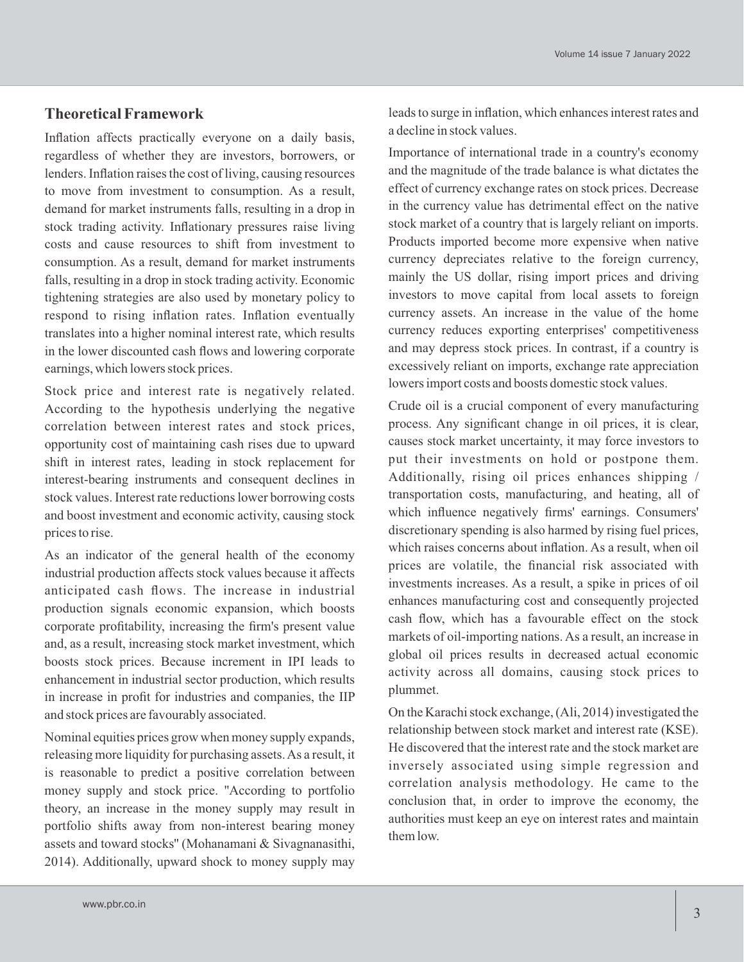# **Theoretical Framework**

Inflation affects practically everyone on a daily basis, regardless of whether they are investors, borrowers, or lenders. Inflation raises the cost of living, causing resources to move from investment to consumption. As a result, demand for market instruments falls, resulting in a drop in stock trading activity. Inflationary pressures raise living costs and cause resources to shift from investment to consumption. As a result, demand for market instruments falls, resulting in a drop in stock trading activity. Economic tightening strategies are also used by monetary policy to respond to rising inflation rates. Inflation eventually translates into a higher nominal interest rate, which results in the lower discounted cash flows and lowering corporate earnings, which lowers stock prices.

Stock price and interest rate is negatively related. According to the hypothesis underlying the negative correlation between interest rates and stock prices, opportunity cost of maintaining cash rises due to upward shift in interest rates, leading in stock replacement for interest-bearing instruments and consequent declines in stock values. Interest rate reductions lower borrowing costs and boost investment and economic activity, causing stock prices to rise.

As an indicator of the general health of the economy industrial production affects stock values because it affects anticipated cash flows. The increase in industrial production signals economic expansion, which boosts corporate profitability, increasing the firm's present value and, as a result, increasing stock market investment, which boosts stock prices. Because increment in IPI leads to enhancement in industrial sector production, which results in increase in profit for industries and companies, the IIP and stock prices are favourably associated.

Nominal equities prices grow when money supply expands, releasing more liquidity for purchasing assets. As a result, it is reasonable to predict a positive correlation between money supply and stock price. ''According to portfolio theory, an increase in the money supply may result in portfolio shifts away from non-interest bearing money assets and toward stocks'' (Mohanamani & Sivagnanasithi, 2014). Additionally, upward shock to money supply may leads to surge in inflation, which enhances interest rates and a decline in stock values.

Importance of international trade in a country's economy and the magnitude of the trade balance is what dictates the effect of currency exchange rates on stock prices. Decrease in the currency value has detrimental effect on the native stock market of a country that is largely reliant on imports. Products imported become more expensive when native currency depreciates relative to the foreign currency, mainly the US dollar, rising import prices and driving investors to move capital from local assets to foreign currency assets. An increase in the value of the home currency reduces exporting enterprises' competitiveness and may depress stock prices. In contrast, if a country is excessively reliant on imports, exchange rate appreciation lowers import costs and boosts domestic stock values.

Crude oil is a crucial component of every manufacturing process. Any significant change in oil prices, it is clear, causes stock market uncertainty, it may force investors to put their investments on hold or postpone them. Additionally, rising oil prices enhances shipping / transportation costs, manufacturing, and heating, all of which influence negatively firms' earnings. Consumers' discretionary spending is also harmed by rising fuel prices, which raises concerns about inflation. As a result, when oil prices are volatile, the financial risk associated with investments increases. As a result, a spike in prices of oil enhances manufacturing cost and consequently projected cash flow, which has a favourable effect on the stock markets of oil-importing nations. As a result, an increase in global oil prices results in decreased actual economic activity across all domains, causing stock prices to plummet.

On the Karachi stock exchange, (Ali, 2014) investigated the relationship between stock market and interest rate (KSE). He discovered that the interest rate and the stock market are inversely associated using simple regression and correlation analysis methodology. He came to the conclusion that, in order to improve the economy, the authorities must keep an eye on interest rates and maintain them low.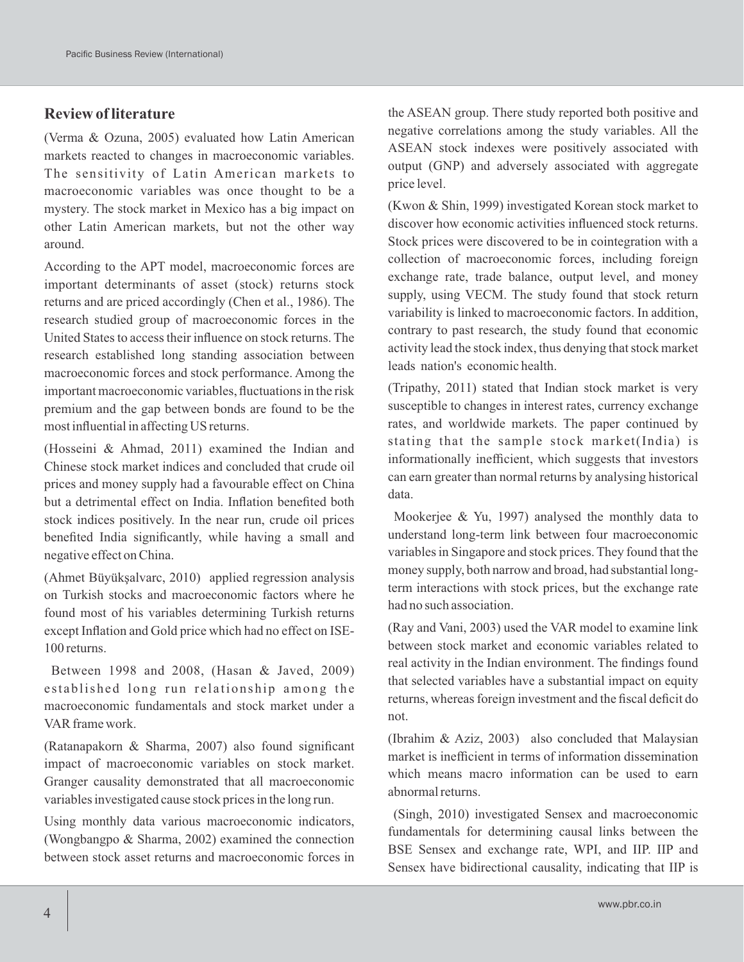# **Review of literature**

(Verma & Ozuna, 2005) evaluated how Latin American markets reacted to changes in macroeconomic variables. The sensitivity of Latin American markets to macroeconomic variables was once thought to be a mystery. The stock market in Mexico has a big impact on other Latin American markets, but not the other way around.

According to the APT model, macroeconomic forces are important determinants of asset (stock) returns stock returns and are priced accordingly (Chen et al., 1986). The research studied group of macroeconomic forces in the United States to access their influence on stock returns. The research established long standing association between macroeconomic forces and stock performance. Among the important macroeconomic variables, fluctuations in the risk premium and the gap between bonds are found to be the most influential in affecting US returns.

(Hosseini & Ahmad, 2011) examined the Indian and Chinese stock market indices and concluded that crude oil prices and money supply had a favourable effect on China but a detrimental effect on India. Inflation benefited both stock indices positively. In the near run, crude oil prices benefited India significantly, while having a small and negative effect on China.

(Ahmet Büyükşalvarc, 2010) applied regression analysis on Turkish stocks and macroeconomic factors where he found most of his variables determining Turkish returns except Inflation and Gold price which had no effect on ISE-100 returns.

Between 1998 and 2008, (Hasan & Javed, 2009) established long run relationship among the macroeconomic fundamentals and stock market under a VAR frame work.

(Ratanapakorn & Sharma, 2007) also found significant impact of macroeconomic variables on stock market. Granger causality demonstrated that all macroeconomic variables investigated cause stock prices in the long run.

Using monthly data various macroeconomic indicators, (Wongbangpo & Sharma, 2002) examined the connection between stock asset returns and macroeconomic forces in the ASEAN group. There study reported both positive and negative correlations among the study variables. All the ASEAN stock indexes were positively associated with output (GNP) and adversely associated with aggregate price level.

(Kwon & Shin, 1999) investigated Korean stock market to discover how economic activities influenced stock returns. Stock prices were discovered to be in cointegration with a collection of macroeconomic forces, including foreign exchange rate, trade balance, output level, and money supply, using VECM. The study found that stock return variability is linked to macroeconomic factors. In addition, contrary to past research, the study found that economic activity lead the stock index, thus denying that stock market leads nation's economic health.

(Tripathy, 2011) stated that Indian stock market is very susceptible to changes in interest rates, currency exchange rates, and worldwide markets. The paper continued by stating that the sample stock market(India) is informationally inefficient, which suggests that investors can earn greater than normal returns by analysing historical data.

Mookerjee & Yu, 1997) analysed the monthly data to understand long-term link between four macroeconomic variables in Singapore and stock prices. They found that the money supply, both narrow and broad, had substantial longterm interactions with stock prices, but the exchange rate had no such association.

(Ray and Vani, 2003) used the VAR model to examine link between stock market and economic variables related to real activity in the Indian environment. The findings found that selected variables have a substantial impact on equity returns, whereas foreign investment and the fiscal deficit do not.

(Ibrahim & Aziz, 2003) also concluded that Malaysian market is inefficient in terms of information dissemination which means macro information can be used to earn abnormal returns.

(Singh, 2010) investigated Sensex and macroeconomic fundamentals for determining causal links between the BSE Sensex and exchange rate, WPI, and IIP. IIP and Sensex have bidirectional causality, indicating that IIP is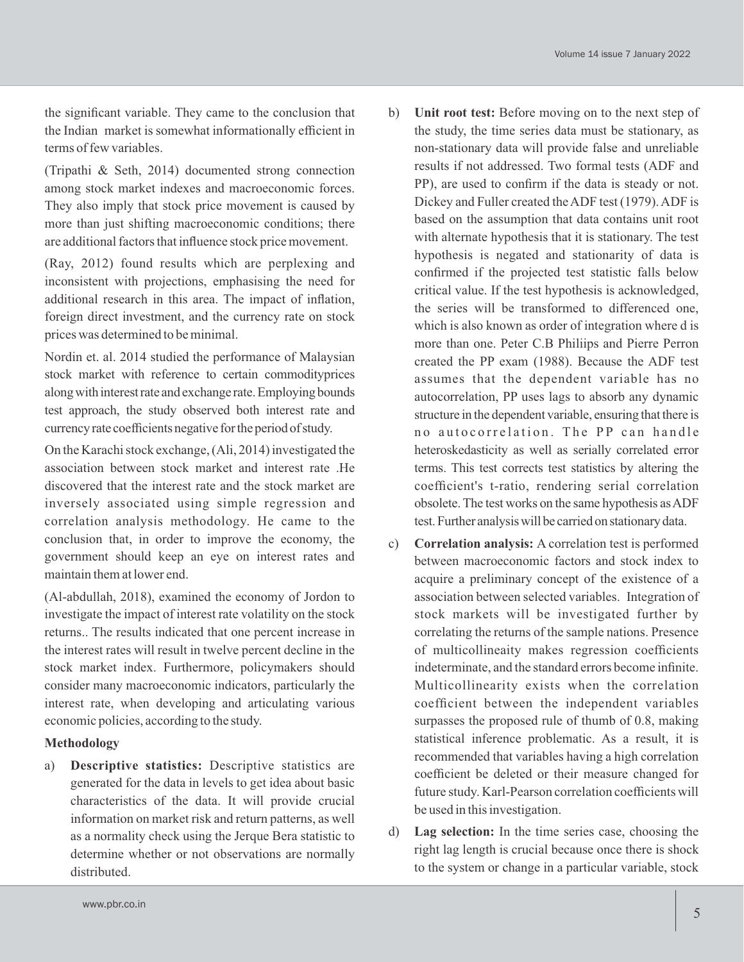the significant variable. They came to the conclusion that the Indian market is somewhat informationally efficient in terms of few variables.

(Tripathi & Seth, 2014) documented strong connection among stock market indexes and macroeconomic forces. They also imply that stock price movement is caused by more than just shifting macroeconomic conditions; there are additional factors that influence stock price movement.

(Ray, 2012) found results which are perplexing and inconsistent with projections, emphasising the need for additional research in this area. The impact of inflation, foreign direct investment, and the currency rate on stock prices was determined to be minimal.

Nordin et. al. 2014 studied the performance of Malaysian stock market with reference to certain commodityprices along with interest rate and exchange rate. Employing bounds test approach, the study observed both interest rate and currency rate coefficients negative for the period of study.

On the Karachi stock exchange, (Ali, 2014) investigated the association between stock market and interest rate .He discovered that the interest rate and the stock market are inversely associated using simple regression and correlation analysis methodology. He came to the conclusion that, in order to improve the economy, the government should keep an eye on interest rates and maintain them at lower end.

(Al-abdullah, 2018), examined the economy of Jordon to investigate the impact of interest rate volatility on the stock returns.. The results indicated that one percent increase in the interest rates will result in twelve percent decline in the stock market index. Furthermore, policymakers should consider many macroeconomic indicators, particularly the interest rate, when developing and articulating various economic policies, according to the study.

#### **Methodology**

a) **Descriptive statistics:** Descriptive statistics are generated for the data in levels to get idea about basic characteristics of the data. It will provide crucial information on market risk and return patterns, as well as a normality check using the Jerque Bera statistic to determine whether or not observations are normally distributed.

- b) **Unit root test:** Before moving on to the next step of the study, the time series data must be stationary, as non-stationary data will provide false and unreliable results if not addressed. Two formal tests (ADF and PP), are used to confirm if the data is steady or not. Dickey and Fuller created the ADF test (1979). ADF is based on the assumption that data contains unit root with alternate hypothesis that it is stationary. The test hypothesis is negated and stationarity of data is confirmed if the projected test statistic falls below critical value. If the test hypothesis is acknowledged, the series will be transformed to differenced one, which is also known as order of integration where d is more than one. Peter C.B Philiips and Pierre Perron created the PP exam (1988). Because the ADF test assumes that the dependent variable has no autocorrelation, PP uses lags to absorb any dynamic structure in the dependent variable, ensuring that there is no autocorrelation. The PP can handle heteroskedasticity as well as serially correlated error terms. This test corrects test statistics by altering the coefficient's t-ratio, rendering serial correlation obsolete.The test works on the same hypothesis asADF test. Further analysis will be carried on stationary data.
- c) **Correlation analysis:** A correlation test is performed between macroeconomic factors and stock index to acquire a preliminary concept of the existence of a association between selected variables. Integration of stock markets will be investigated further by correlating the returns of the sample nations. Presence of multicollineaity makes regression coefficients indeterminate, and the standard errors become infinite. Multicollinearity exists when the correlation coefficient between the independent variables surpasses the proposed rule of thumb of 0.8, making statistical inference problematic. As a result, it is recommended that variables having a high correlation coefficient be deleted or their measure changed for future study. Karl-Pearson correlation coefficients will be used in this investigation.
- d) **Lag selection:** In the time series case, choosing the right lag length is crucial because once there is shock to the system or change in a particular variable, stock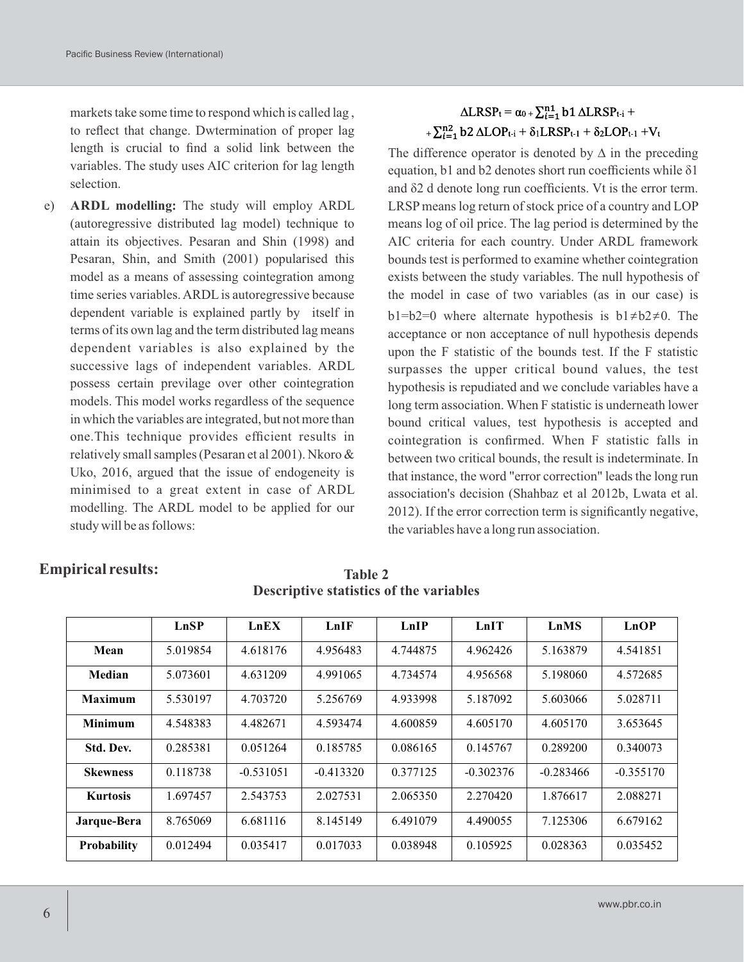markets take some time to respond which is called lag , to reflect that change. Dwtermination of proper lag length is crucial to find a solid link between the variables. The study uses AIC criterion for lag length selection.

e) **ARDL modelling:** The study will employ ARDL (autoregressive distributed lag model) technique to attain its objectives. Pesaran and Shin (1998) and Pesaran, Shin, and Smith (2001) popularised this model as a means of assessing cointegration among time series variables. ARDL is autoregressive because dependent variable is explained partly by itself in terms of its own lag and the term distributed lag means dependent variables is also explained by the successive lags of independent variables. ARDL possess certain previlage over other cointegration models. This model works regardless of the sequence in which the variables are integrated, but not more than one.This technique provides efficient results in relatively small samples (Pesaran et al 2001). Nkoro & Uko, 2016, argued that the issue of endogeneity is minimised to a great extent in case of ARDL modelling. The ARDL model to be applied for our study will be as follows:

# $\Delta LRSP_t = \alpha_0 + \sum_{i=1}^{n_1} b1 \Delta LRSP_{t-i} +$ + $\sum_{i=1}^{n^2} b2 \Delta LOP_{t-1} + \delta_1 LRSP_{t-1} + \delta_2 LOP_{t-1} + V_t$

The difference operator is denoted by  $\Delta$  in the preceding equation, b1 and b2 denotes short run coefficients while δ1 and δ2 d denote long run coefficients. Vt is the error term. LRSP means log return of stock price of a country and LOP means log of oil price. The lag period is determined by the AIC criteria for each country. Under ARDL framework bounds test is performed to examine whether cointegration exists between the study variables. The null hypothesis of the model in case of two variables (as in our case) is b1=b2=0 where alternate hypothesis is b1≠b2≠0. The acceptance or non acceptance of null hypothesis depends upon the F statistic of the bounds test. If the F statistic surpasses the upper critical bound values, the test hypothesis is repudiated and we conclude variables have a long term association. When F statistic is underneath lower bound critical values, test hypothesis is accepted and cointegration is confirmed. When F statistic falls in between two critical bounds, the result is indeterminate. In that instance, the word "error correction" leads the long run association's decision (Shahbaz et al 2012b, Lwata et al. 2012). If the error correction term is significantly negative, the variables have a long run association.

|                    | LnSP     | LnEX        | LnIF        | LnIP     | LnIT        | LnMS        | LnOP        |
|--------------------|----------|-------------|-------------|----------|-------------|-------------|-------------|
| Mean               | 5.019854 | 4.618176    | 4.956483    | 4.744875 | 4.962426    | 5.163879    | 4.541851    |
| Median             | 5.073601 | 4.631209    | 4.991065    | 4.734574 | 4.956568    | 5.198060    | 4.572685    |
| <b>Maximum</b>     | 5.530197 | 4.703720    | 5.256769    | 4.933998 | 5.187092    | 5.603066    | 5.028711    |
| <b>Minimum</b>     | 4.548383 | 4.482671    | 4.593474    | 4.600859 | 4.605170    | 4.605170    | 3.653645    |
| Std. Dev.          | 0.285381 | 0.051264    | 0.185785    | 0.086165 | 0.145767    | 0.289200    | 0.340073    |
| <b>Skewness</b>    | 0.118738 | $-0.531051$ | $-0.413320$ | 0.377125 | $-0.302376$ | $-0.283466$ | $-0.355170$ |
| <b>Kurtosis</b>    | 1.697457 | 2.543753    | 2.027531    | 2.065350 | 2.270420    | 1.876617    | 2.088271    |
| Jarque-Bera        | 8.765069 | 6.681116    | 8.145149    | 6.491079 | 4.490055    | 7.125306    | 6.679162    |
| <b>Probability</b> | 0.012494 | 0.035417    | 0.017033    | 0.038948 | 0.105925    | 0.028363    | 0.035452    |

# **Empirical results: Table 2**

**Descriptive statistics of the variables**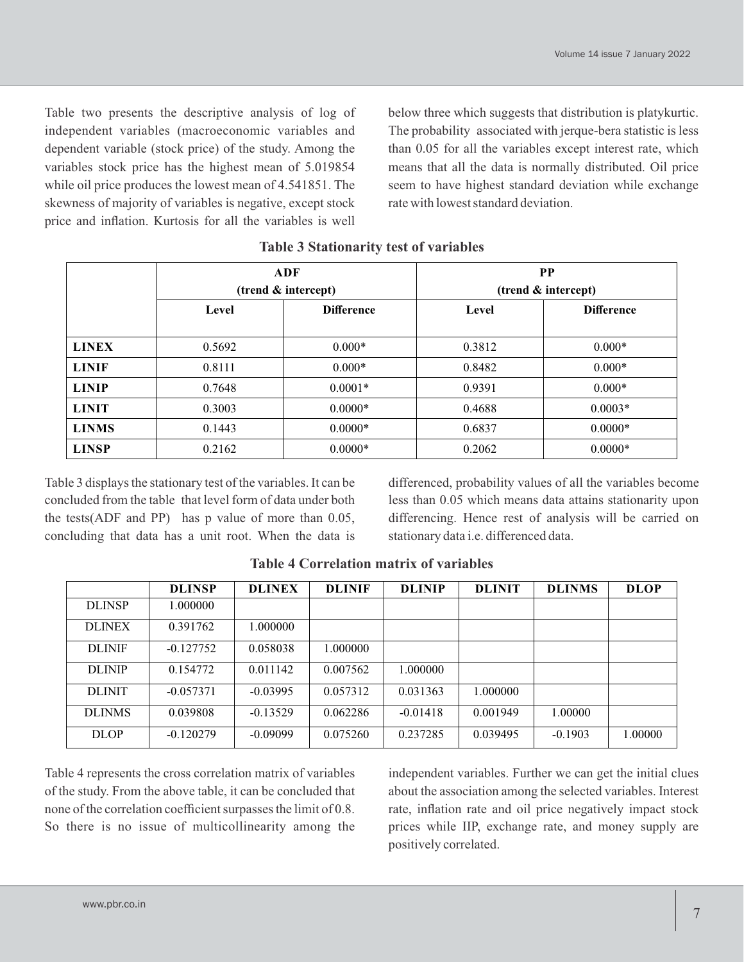Table two presents the descriptive analysis of log of independent variables (macroeconomic variables and dependent variable (stock price) of the study. Among the variables stock price has the highest mean of 5.019854 while oil price produces the lowest mean of 4.541851. The skewness of majority of variables is negative, except stock price and inflation. Kurtosis for all the variables is well

below three which suggests that distribution is platykurtic. The probability associated with jerque-bera statistic is less than 0.05 for all the variables except interest rate, which means that all the data is normally distributed. Oil price seem to have highest standard deviation while exchange rate with lowest standard deviation.

|              | ADF<br>(trend & intercept) |                   | <b>PP</b><br>(trend & intercept) |                   |
|--------------|----------------------------|-------------------|----------------------------------|-------------------|
|              | Level                      | <b>Difference</b> | Level                            | <b>Difference</b> |
| <b>LINEX</b> | 0.5692                     | $0.000*$          | 0.3812                           | $0.000*$          |
| <b>LINIF</b> | 0.8111                     | $0.000*$          | 0.8482                           | $0.000*$          |
| <b>LINIP</b> | 0.7648                     | $0.0001*$         | 0.9391                           | $0.000*$          |
| <b>LINIT</b> | 0.3003                     | $0.0000*$         | 0.4688                           | $0.0003*$         |
| <b>LINMS</b> | 0.1443                     | $0.0000*$         | 0.6837                           | $0.0000*$         |
| <b>LINSP</b> | 0.2162                     | $0.0000*$         | 0.2062                           | $0.0000*$         |

### **Table 3 Stationarity test of variables**

Table 3 displays the stationary test of the variables. It can be concluded from the table that level form of data under both the tests(ADF and PP) has p value of more than 0.05, concluding that data has a unit root. When the data is

differenced, probability values of all the variables become less than 0.05 which means data attains stationarity upon differencing. Hence rest of analysis will be carried on stationary data i.e. differenced data.

|               | <b>DLINSP</b> | <b>DLINEX</b> | <b>DLINIF</b> | <b>DLINIP</b> | <b>DLINIT</b> | <b>DLINMS</b> | <b>DLOP</b> |
|---------------|---------------|---------------|---------------|---------------|---------------|---------------|-------------|
| <b>DLINSP</b> | 1.000000      |               |               |               |               |               |             |
| <b>DLINEX</b> | 0.391762      | 1.000000      |               |               |               |               |             |
| <b>DLINIF</b> | $-0.127752$   | 0.058038      | 1.000000      |               |               |               |             |
| <b>DLINIP</b> | 0.154772      | 0.011142      | 0.007562      | 1.000000      |               |               |             |
| <b>DLINIT</b> | $-0.057371$   | $-0.03995$    | 0.057312      | 0.031363      | 1.000000      |               |             |
| <b>DLINMS</b> | 0.039808      | $-0.13529$    | 0.062286      | $-0.01418$    | 0.001949      | 1.00000       |             |
| <b>DLOP</b>   | $-0.120279$   | $-0.09099$    | 0.075260      | 0.237285      | 0.039495      | $-0.1903$     | 1.00000     |

# **Table 4 Correlation matrix of variables**

Table 4 represents the cross correlation matrix of variables of the study. From the above table, it can be concluded that none of the correlation coefficient surpasses the limit of 0.8. So there is no issue of multicollinearity among the

independent variables. Further we can get the initial clues about the association among the selected variables. Interest rate, inflation rate and oil price negatively impact stock prices while IIP, exchange rate, and money supply are positively correlated.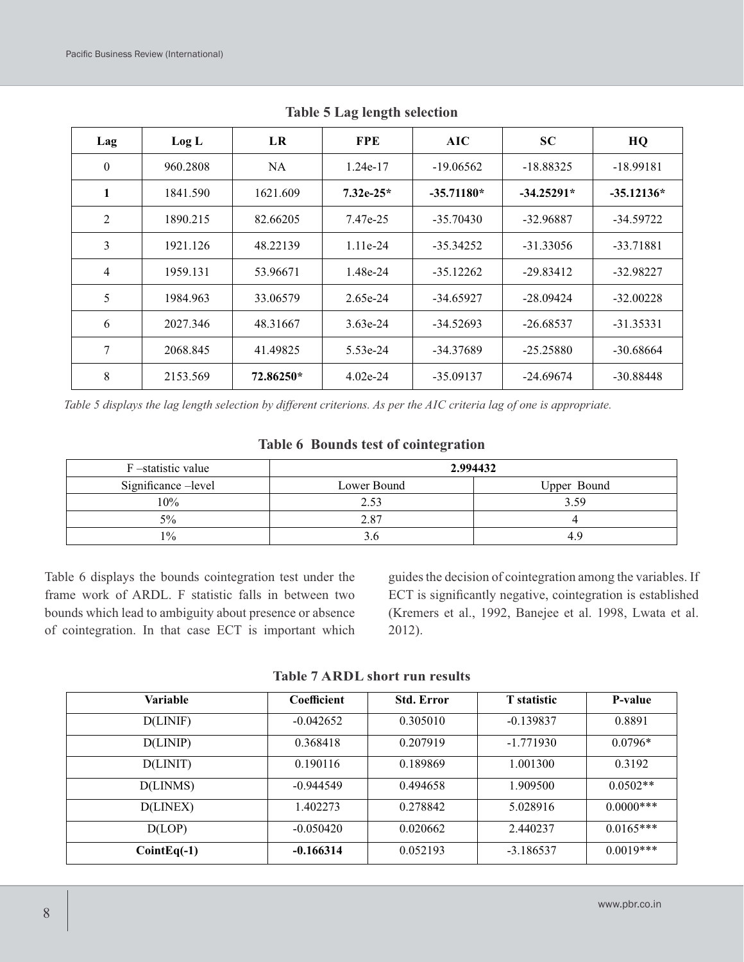| Lag      | Log L    | <b>LR</b> | <b>FPE</b>  | AIC          | <b>SC</b>    | HQ           |
|----------|----------|-----------|-------------|--------------|--------------|--------------|
| $\theta$ | 960.2808 | <b>NA</b> | 1.24e-17    | $-19.06562$  | $-18.88325$  | $-18.99181$  |
| 1        | 1841.590 | 1621.609  | $7.32e-25*$ | $-35.71180*$ | $-34.25291*$ | $-35.12136*$ |
| 2        | 1890.215 | 82.66205  | 7.47e-25    | $-35.70430$  | -32.96887    | -34.59722    |
| 3        | 1921.126 | 48.22139  | $1.11e-24$  | $-35.34252$  | $-31.33056$  | $-33.71881$  |
| 4        | 1959.131 | 53.96671  | 1.48e-24    | $-35.12262$  | $-29.83412$  | -32.98227    |
| 5        | 1984.963 | 33.06579  | 2.65e-24    | -34.65927    | $-28.09424$  | $-32.00228$  |
| 6        | 2027.346 | 48.31667  | $3.63e-24$  | $-34.52693$  | $-26.68537$  | $-31.35331$  |
| 7        | 2068.845 | 41.49825  | $5.53e-24$  | -34.37689    | $-25.25880$  | $-30.68664$  |
| 8        | 2153.569 | 72.86250* | $4.02e-24$  | $-35.09137$  | $-24.69674$  | $-30.88448$  |

**Table 5 Lag length selection**

*Table 5 displays the lag length selection by different criterions. As per the AIC criteria lag of one is appropriate.*

#### **Table 6 Bounds test of cointegration**

| $F$ –statistic value | 2.994432    |             |  |
|----------------------|-------------|-------------|--|
| Significance -level  | Lower Bound | Upper Bound |  |
| 10%                  | 2.53        | 3.59        |  |
| $5\%$                | 2.87        |             |  |
| $1\%$                |             | 4.9         |  |

Table 6 displays the bounds cointegration test under the frame work of ARDL. F statistic falls in between two bounds which lead to ambiguity about presence or absence of cointegration. In that case ECT is important which

guides the decision of cointegration among the variables. If ECT is significantly negative, cointegration is established (Kremers et al., 1992, Banejee et al. 1998, Lwata et al. 2012).

| <b>Variable</b> | Coefficient | <b>Std. Error</b> | <b>T</b> statistic | <b>P-value</b> |
|-----------------|-------------|-------------------|--------------------|----------------|
| D(LINIF)        | $-0.042652$ | 0.305010          | $-0.139837$        | 0.8891         |
| D(LINIP)        | 0.368418    | 0.207919          | $-1.771930$        | $0.0796*$      |
| D(LINT)         | 0.190116    | 0.189869          | 1.001300           | 0.3192         |
| D(LINMS)        | $-0.944549$ | 0.494658          | 1.909500           | $0.0502**$     |
| D(LINEX)        | 1.402273    | 0.278842          | 5.028916           | $0.0000$ ***   |
| D (LOP)         | $-0.050420$ | 0.020662          | 2.440237           | $0.0165***$    |
| $CointEq(-1)$   | $-0.166314$ | 0.052193          | $-3.186537$        | $0.0019***$    |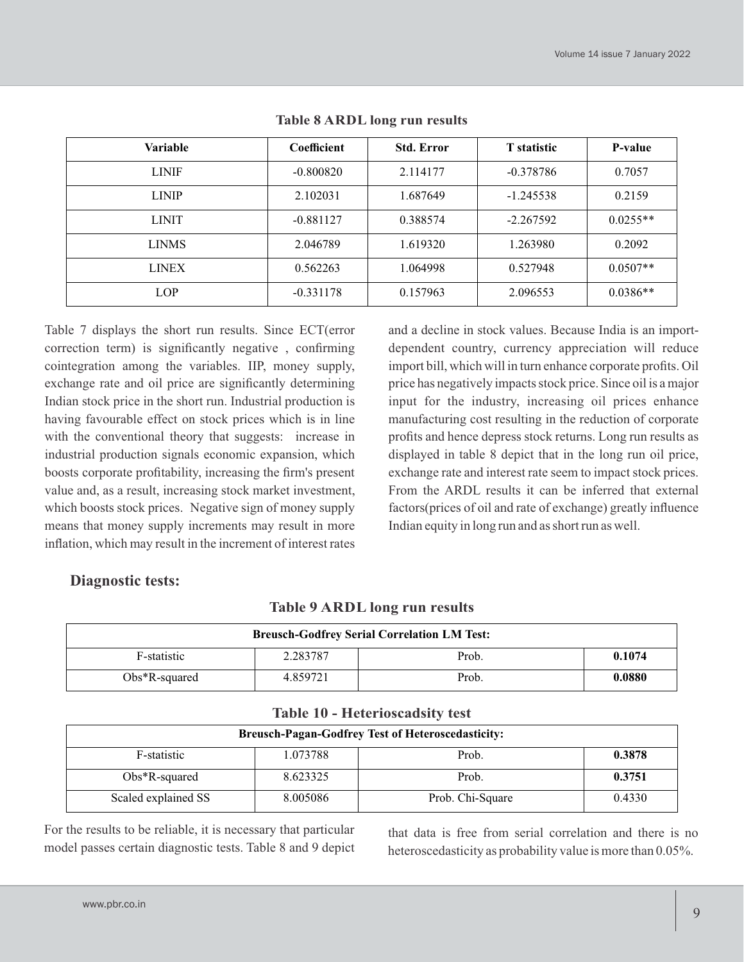| <b>Variable</b> | Coefficient | <b>Std. Error</b> | <b>T</b> statistic | P-value    |
|-----------------|-------------|-------------------|--------------------|------------|
| <b>LINIF</b>    | $-0.800820$ | 2.114177          | $-0.378786$        | 0.7057     |
| <b>LINIP</b>    | 2.102031    | 1.687649          | $-1.245538$        | 0.2159     |
| <b>LINIT</b>    | $-0.881127$ | 0.388574          | $-2.267592$        | $0.0255**$ |
| <b>LINMS</b>    | 2.046789    | 1.619320          | 1.263980           | 0.2092     |
| <b>LINEX</b>    | 0.562263    | 1.064998          | 0.527948           | $0.0507**$ |
| <b>LOP</b>      | $-0.331178$ | 0.157963          | 2.096553           | $0.0386**$ |

**Table 8 ARDL long run results**

Table 7 displays the short run results. Since ECT(error correction term) is significantly negative , confirming cointegration among the variables. IIP, money supply, exchange rate and oil price are significantly determining Indian stock price in the short run. Industrial production is having favourable effect on stock prices which is in line with the conventional theory that suggests: increase in industrial production signals economic expansion, which boosts corporate profitability, increasing the firm's present value and, as a result, increasing stock market investment, which boosts stock prices. Negative sign of money supply means that money supply increments may result in more inflation, which may result in the increment of interest rates

and a decline in stock values. Because India is an importdependent country, currency appreciation will reduce import bill, which will in turn enhance corporate profits. Oil price has negatively impacts stock price. Since oil is a major input for the industry, increasing oil prices enhance manufacturing cost resulting in the reduction of corporate profits and hence depress stock returns. Long run results as displayed in table 8 depict that in the long run oil price, exchange rate and interest rate seem to impact stock prices. From the ARDL results it can be inferred that external factors(prices of oil and rate of exchange) greatly influence Indian equity in long run and as short run as well.

# **Diagnostic tests:**

| <b>Breusch-Godfrey Serial Correlation LM Test:</b> |          |       |        |  |  |
|----------------------------------------------------|----------|-------|--------|--|--|
| F-statistic                                        | 2.283787 | Prob. | 0.1074 |  |  |
| $Obs*R$ -squared                                   | 4.859721 | Prob. | 0.0880 |  |  |

**Table 9 ARDL long run results**

| <b>Breusch-Pagan-Godfrey Test of Heteroscedasticity:</b> |          |                  |        |  |  |  |
|----------------------------------------------------------|----------|------------------|--------|--|--|--|
| F-statistic                                              | 1.073788 | Prob.            | 0.3878 |  |  |  |
| $Obs*R$ -squared                                         | 8.623325 | Prob.            | 0.3751 |  |  |  |
| Scaled explained SS                                      | 8.005086 | Prob. Chi-Square | 0.4330 |  |  |  |

**Table 10 - Heterioscadsity test**

For the results to be reliable, it is necessary that particular model passes certain diagnostic tests. Table 8 and 9 depict

that data is free from serial correlation and there is no heteroscedasticity as probability value is more than 0.05%.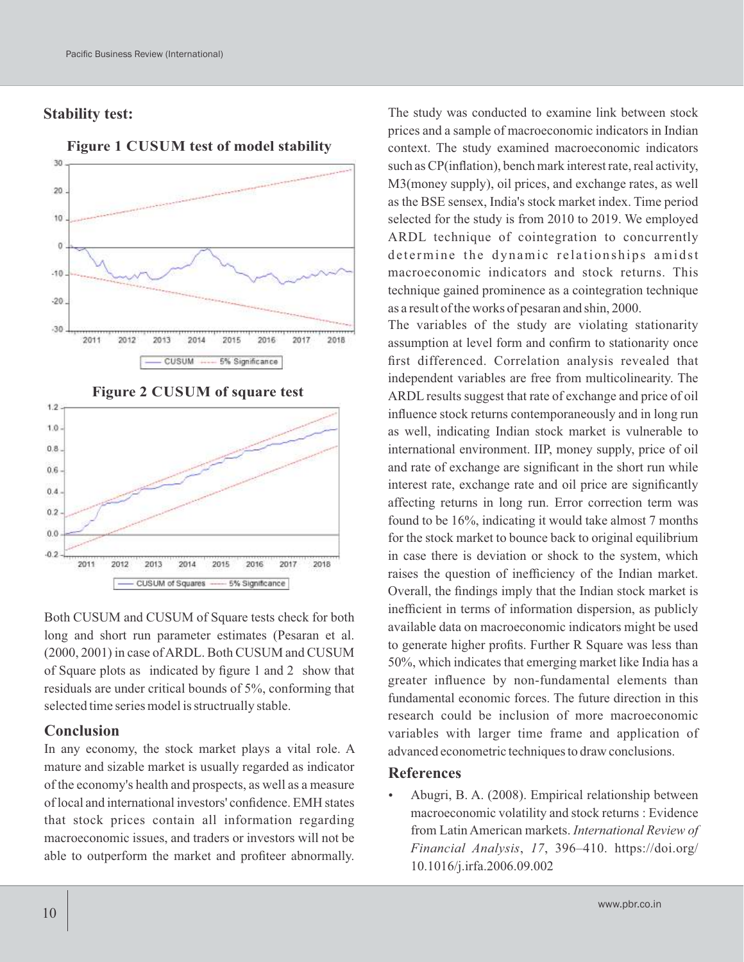### **Stability test:**



### **Figure 1 CUSUM test of model stability**

**Figure 2 CUSUM of square test** 



Both CUSUM and CUSUM of Square tests check for both long and short run parameter estimates (Pesaran et al. (2000, 2001) in case of ARDL. Both CUSUM and CUSUM of Square plots as indicated by figure 1 and 2 show that residuals are under critical bounds of 5%, conforming that selected time series model is structrually stable.

# **Conclusion**

In any economy, the stock market plays a vital role. A mature and sizable market is usually regarded as indicator of the economy's health and prospects, as well as a measure of local and international investors' confidence. EMH states that stock prices contain all information regarding macroeconomic issues, and traders or investors will not be able to outperform the market and profiteer abnormally.

The study was conducted to examine link between stock prices and a sample of macroeconomic indicators in Indian context. The study examined macroeconomic indicators such as CP(inflation), bench mark interest rate, real activity, M3(money supply), oil prices, and exchange rates, as well as the BSE sensex, India's stock market index. Time period selected for the study is from 2010 to 2019. We employed ARDL technique of cointegration to concurrently determine the dynamic relationships amidst macroeconomic indicators and stock returns. This technique gained prominence as a cointegration technique as a result of the works of pesaran and shin, 2000.

The variables of the study are violating stationarity assumption at level form and confirm to stationarity once first differenced. Correlation analysis revealed that independent variables are free from multicolinearity. The ARDL results suggest that rate of exchange and price of oil influence stock returns contemporaneously and in long run as well, indicating Indian stock market is vulnerable to international environment. IIP, money supply, price of oil and rate of exchange are significant in the short run while interest rate, exchange rate and oil price are significantly affecting returns in long run. Error correction term was found to be 16%, indicating it would take almost 7 months for the stock market to bounce back to original equilibrium in case there is deviation or shock to the system, which raises the question of inefficiency of the Indian market. Overall, the findings imply that the Indian stock market is inefficient in terms of information dispersion, as publicly available data on macroeconomic indicators might be used to generate higher profits. Further R Square was less than 50%, which indicates that emerging market like India has a greater influence by non-fundamental elements than fundamental economic forces. The future direction in this research could be inclusion of more macroeconomic variables with larger time frame and application of advanced econometric techniques to draw conclusions.

### **References**

 Abugri, B. A. (2008). Empirical relationship between macroeconomic volatility and stock returns : Evidence from Latin American markets. *International Review of Financial Analysis*, *17*, 396–410. https://doi.org/ 10.1016/j.irfa.2006.09.002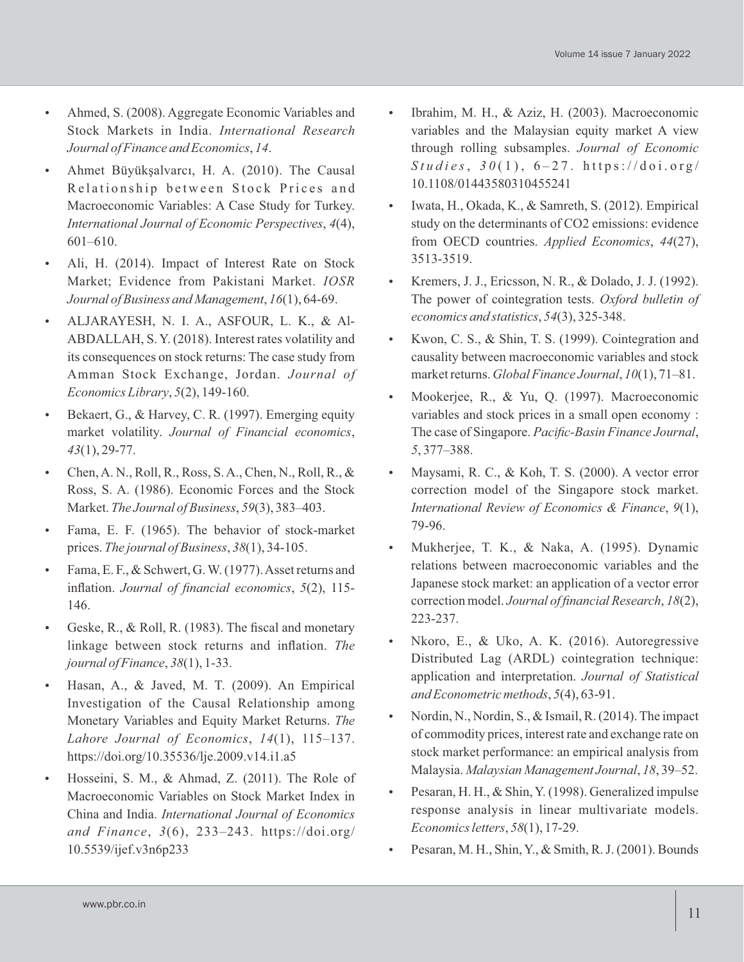- Ahmed, S. (2008). Aggregate Economic Variables and Stock Markets in India. *International Research Journal of Finance and Economics*, *14*.
- Ahmet Büyükşalvarcı, H. A. (2010). The Causal Relationship between Stock Prices and Macroeconomic Variables: A Case Study for Turkey. *International Journal of Economic Perspectives*, *4*(4), 601–610.
- Ali, H. (2014). Impact of Interest Rate on Stock Market; Evidence from Pakistani Market. *IOSR Journal of Business and Management*, *16*(1), 64-69.
- ALJARAYESH, N. I. A., ASFOUR, L. K., & Al-ABDALLAH, S. Y. (2018). Interest rates volatility and its consequences on stock returns: The case study from Amman Stock Exchange, Jordan. *Journal of Economics Library*, *5*(2), 149-160.
- Bekaert, G., & Harvey, C. R. (1997). Emerging equity market volatility. *Journal of Financial economics*, *43*(1), 29-77.
- Chen, A. N., Roll, R., Ross, S. A., Chen, N., Roll, R., & Ross, S. A. (1986). Economic Forces and the Stock Market. *The Journal of Business*, *59*(3), 383–403.
- Fama, E. F. (1965). The behavior of stock-market prices. *The journal of Business*, *38*(1), 34-105.
- Fama, E. F., & Schwert, G. W. (1977). Asset returns and inflation. *Journal of financial economics*, *5*(2), 115- 146.
- Geske, R., & Roll, R. (1983). The fiscal and monetary linkage between stock returns and inflation. *The journal of Finance*, *38*(1), 1-33.
- Hasan, A., & Javed, M. T. (2009). An Empirical Investigation of the Causal Relationship among Monetary Variables and Equity Market Returns. *The Lahore Journal of Economics*, *14*(1), 115–137. https://doi.org/10.35536/lje.2009.v14.i1.a5
- Hosseini, S. M., & Ahmad, Z. (2011). The Role of Macroeconomic Variables on Stock Market Index in China and India. *International Journal of Economics and Finance*, *3*(6), 233–243. https://doi.org/ 10.5539/ijef.v3n6p233
- Ibrahim, M. H., & Aziz, H. (2003). Macroeconomic variables and the Malaysian equity market A view through rolling subsamples. *Journal of Economic*   $Studies, 30(1), 6-27.$  https://doi.org/ 10.1108/01443580310455241
- Iwata, H., Okada, K., & Samreth, S. (2012). Empirical study on the determinants of CO2 emissions: evidence from OECD countries. *Applied Economics*, *44*(27), 3513-3519.
- Kremers, J. J., Ericsson, N. R., & Dolado, J. J. (1992). The power of cointegration tests. *Oxford bulletin of economics and statistics*, *54*(3), 325-348.
- Kwon, C. S., & Shin, T. S. (1999). Cointegration and causality between macroeconomic variables and stock market returns. *Global Finance Journal*, *10*(1), 71–81.
- Mookerjee, R., & Yu, O. (1997). Macroeconomic variables and stock prices in a small open economy  : The case of Singapore. *Pacific-Basin Finance Journal*, *5*, 377–388.
- Maysami, R. C., & Koh, T. S. (2000). A vector error correction model of the Singapore stock market. *International Review of Economics & Finance*, *9*(1), 79-96.
- Mukherjee, T. K., & Naka, A. (1995). Dynamic relations between macroeconomic variables and the Japanese stock market: an application of a vector error correction model. *Journal of financial Research*, *18*(2), 223-237.
- Nkoro, E., & Uko, A. K. (2016). Autoregressive Distributed Lag (ARDL) cointegration technique: application and interpretation. *Journal of Statistical and Econometric methods*, *5*(4), 63-91.
- Nordin, N., Nordin, S., & Ismail, R. (2014). The impact of commodity prices, interest rate and exchange rate on stock market performance: an empirical analysis from Malaysia. *Malaysian Management Journal*, *18*, 39–52.
- Pesaran, H. H., & Shin, Y. (1998). Generalized impulse response analysis in linear multivariate models. *Economics letters*, *58*(1), 17-29.
- Pesaran, M. H., Shin, Y., & Smith, R. J. (2001). Bounds